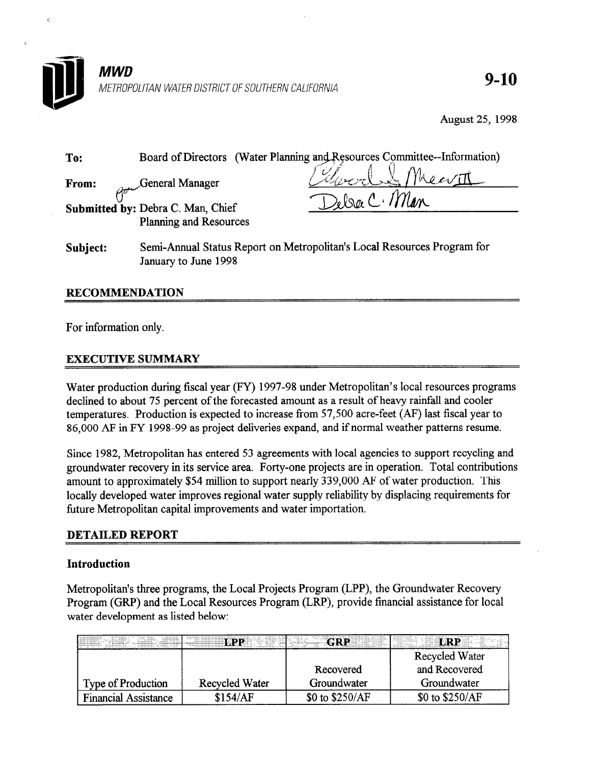

August 25, 1998

| To:      |                                                             | Board of Directors (Water Planning and Resources Committee--Information) |
|----------|-------------------------------------------------------------|--------------------------------------------------------------------------|
| From:    | General Manager                                             |                                                                          |
|          | Submitted by: Debra C. Man, Chief<br>Planning and Resources | Delse C. Man                                                             |
| Subject: | January to June 1998                                        | Semi-Annual Status Report on Metropolitan's Local Resources Program for  |

## RECOMMENDATION

For information only.

## EXECUTIVE SUMMARY

Water production during fiscal year (FY) 1997-98 under Metropolitan's local resources programs declined to about 75 percent of the forecasted amount as a result of heavy rainfall and cooler temperatures. Production is expected to increase from 57,500 acre-feet (AF) last fiscal year to 86,000 AF in FY 1998-99 as project deliveries expand, and if normal weather patterns resume.

Since 1982, Metropolitan has entered 53 agreements with local agencies to support recycling and groundwater recovery in its service area. Forty-one projects are in operation. Total contributions amount to approximately \$54 million to support nearly 339,000 AF of water production. This locally developed water improves regional water supply reliability by displacing requirements for future Metropolitan capital improvements and water importation.

# DETAILED REPORT

### Introduction

Metropolitan's three programs, the Local Projects Program (LPP), the Groundwater Recovery Program (GRP) and the Local Resources Program (LRP), provide financial assistance for local water development as listed below:

| <br><br><b></b> .<br>       |                |                  | <br>.<br>$\sim$ $\sim$ $\sim$<br>1111<br> |
|-----------------------------|----------------|------------------|-------------------------------------------|
|                             |                |                  | Recycled Water                            |
|                             |                | Recovered        | and Recovered                             |
| <b>Type of Production</b>   | Recycled Water | Groundwater      | Groundwater                               |
| <b>Financial Assistance</b> | 154/AF         | \$0 to $$250/AF$ | $$0$ to $$250/AF$                         |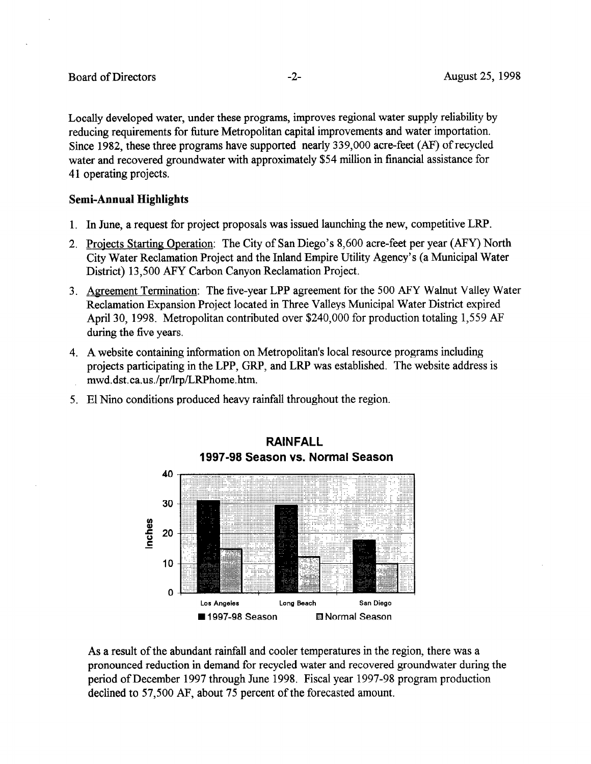Locally developed water, under these programs, improves regional water supply reliability by reducing requirements for future Metropolitan capital improvements and water importation. Since 1982, these three programs have supported nearly 339,000 acre-feet (AF) of recycled water and recovered groundwater with approximately \$54 million in financial assistance for 41 operating projects.

# Semi-Annual Highlights

- 1. In June, a request for project proposals was issued launching the new, competitive LRP.
- 2. Proiects Starting Operation: The City of San Diego's 8,600 acre-feet per year (AFY) North City Water Reclamation Project and the Inland Empire Utility Agency's (a Municipal Water District) 13,500 AFY Carbon Canyon Reclamation Project.
- 3. Agreement Termination: The five-year LPP agreement for the 500 AFY Walnut Valley Water Reclamation Expansion Project located in Three Valleys Municipal Water District expired April 30, 1998. Metropolitan contributed over \$240,000 for production totaling 1,559 AF during the five years.
- 4. A website containing information on Metropolitan's local resource programs including projects participating in the LPP, GRP, and LRP was established. The website address is mwd.dst.ca.us./pr/lrp/LRPhome.htm.

RAINFALL

5. El Nino conditions produced heavy rainfall throughout the region.



As a result of the abundant rainfall and cooler temperatures in the region, there was a pronounced reduction in demand for recycled water and recovered groundwater during the period of December 1997 through June 1998. Fiscal year 1997-98 program production declined to 57,500 AF, about 75 percent of the forecasted amount.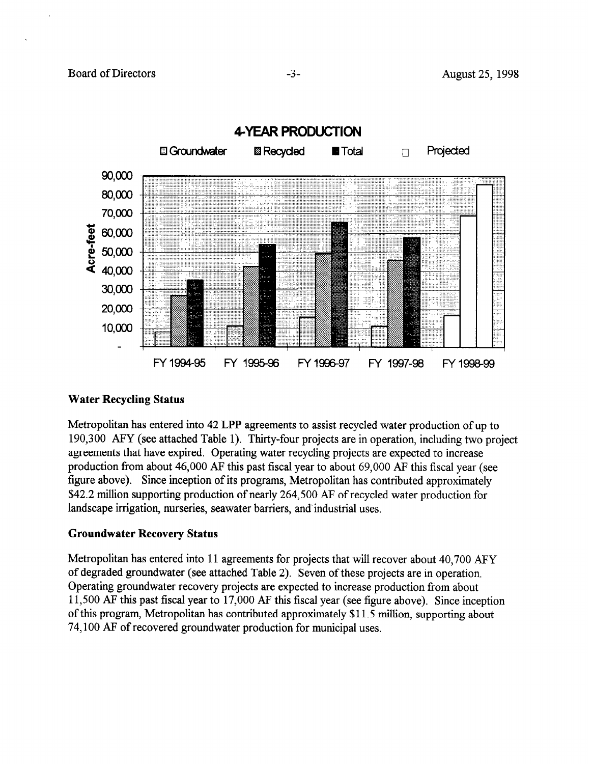

### Water Recycling Status

Metropolitan has entered into 42 LPP agreements to assist recycled water production of up to 190,300 AFY (see attached Table 1). Thirty-four projects are in operation, including two project agreements that have expired. Operating water recycling projects are expected to increase production from about 46,000 AP this past fiscal year to about 69,000 AP this fiscal year (see figure above). Since inception of its programs, Metropolitan has contributed approximately \$42.2 million supporting production of nearly 264,500 AF of recycled water production for landscape irrigation, nurseries, seawater barriers, and industrial uses.

### Groundwater Recovery Status

Metropolitan has entered into 11 agreements for projects that will recover about 40,700 AFY of degraded groundwater (see attached Table 2). Seven of these projects are in operation. Operating groundwater recovery projects are expected to increase production from about 11,500 AP this past fiscal year to 17,000 AF this fiscal year (see figure above). Since inception of this program, Metropolitan has contributed approximately \$11.5 million, supporting about 74,100 AF of recovered groundwater production for municipal uses.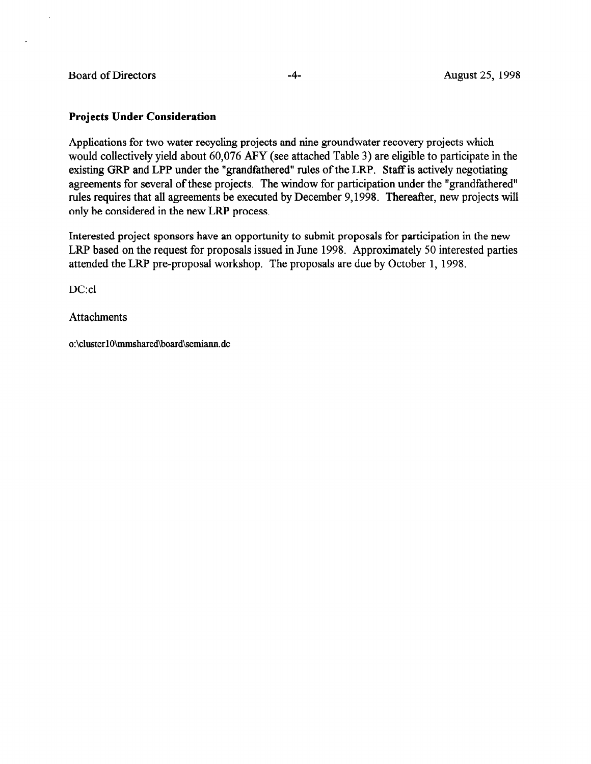#### Board of Directors -4- August 25, 1998

### Projects Under Consideration

Applications for two water recycling projects and nine groundwater recovery projects which would collectively yield about 60,076 AFY (see attached Table 3) are eligible to participate in the existing GRP and LPP under the "grandfathered" rules of the LRP. Staff is actively negotiating agreements for several of these projects. The window for participation under the "grandfathered" rules requires that all agreements be executed by December 9,1998. Thereafter, new projects will only be considered in the new LRP process.

Interested project sponsors have an opportunity to submit proposals for participation in the new LRP based on the request for proposals issued in June 1998. Approximately 50 interested parties attended the LRP pre-proposal workshop. The proposals are due by October 1, 1998.

DC:cl

Attachments

o:\clusterlO\mmshared\board\semiann.dc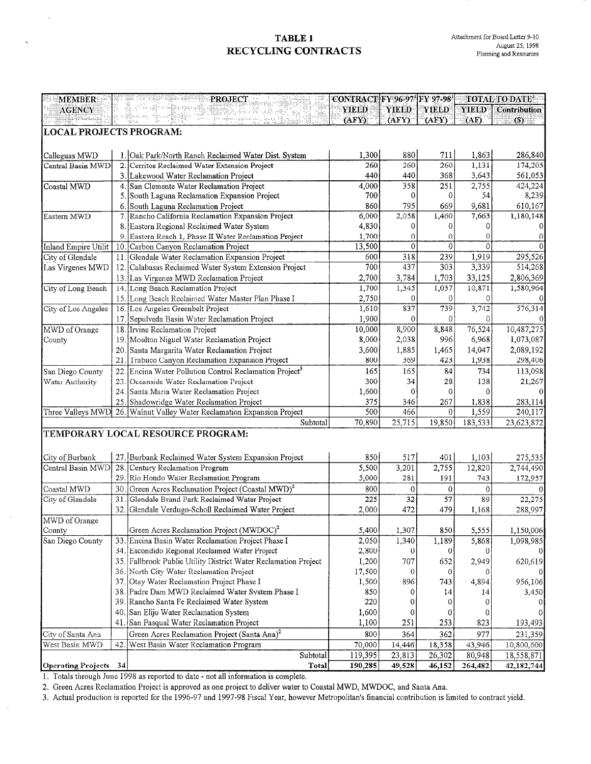### TABLE 1 **RECYCLING CONTRACTS**

 $\bar{\epsilon}$ 

 $\mathbf{r}$ 

| <b>MEMBER</b>                  |      | <b>PROJECT</b><br>e confundamentino appropria.<br>Les de califermiques avita | CONTRACT FY 96-97 FY 97-98 |                |                 |             | <b>TOTAL TO DATE!</b> |
|--------------------------------|------|------------------------------------------------------------------------------|----------------------------|----------------|-----------------|-------------|-----------------------|
| <b>AGENCY</b>                  |      | NHOND (                                                                      | YIELD                      | <b>YIEED</b>   | <b>YIELD</b>    | YIELD       | <b>Contribution</b>   |
|                                |      | - TRI                                                                        | (AFY)                      | (AFY)          | (AFY)           | (AF)        | $\infty$              |
| <b>LOCAL PROJECTS PROGRAM:</b> |      |                                                                              |                            |                |                 |             |                       |
|                                |      |                                                                              |                            |                |                 |             |                       |
| Calleguas MWD                  |      | 1. Oak Park/North Ranch Reclaimed Water Dist. System                         | 1,300                      | 880            | 711             | 1,863       | 286,840               |
| Central Basin MWD              |      | 2. Cerritos Reclaimed Water Extension Project                                | 260                        | 260            | 260             | 1,131       | 174,205               |
|                                |      | 3. Lakewood Water Reclamation Project                                        | 440                        | 440            | 368             | 3,643       | 561,053               |
| Coastal MWD                    |      | 4. San Clemente Water Reclamation Project                                    | 4,000                      | 358            | 251             | 2,755       | 424,224               |
|                                | 5.   | South Laguna Reclamation Expansion Project                                   | 700                        | 0              | $\mathbf 0$     | 54          | 8,239                 |
|                                |      | 6. South Laguna Reclamation Project                                          | 860                        | 795            | 669             | 9,681       | 610,167               |
| Eastern MWD                    |      | Rancho California Reclamation Expansion Project                              | 6,000                      | 2,058          | 1,460           | 7,663       | 1,180,148             |
|                                | 8    | Eastern Regional Reclaimed Water System                                      | 4,830                      | 0              | 0               | 0           |                       |
|                                | 9    | Eastern Reach 1, Phase II Water Reclamation Project                          | 1,700                      | 0              | 0               | 0           |                       |
| <b>Inland Empire Utilit</b>    | 10   | Carbon Canyon Reclamation Project                                            | 13,500                     | $\overline{0}$ | $\mathbf 0$     | $\Omega$    |                       |
| City of Glendale               | 11   | Glendale Water Reclamation Expansion Project                                 | 600                        | 318            | 239             | 1,919       | 295,526               |
| Las Virgenes MWD               | 12.1 | Calabasas Reclaimed Water System Extension Project                           | 700                        | 437            | 303             | 3,339       | 514,268               |
|                                |      | 13. Las Virgenes MWD Reclamation Project                                     | 2,700                      | 3,784          | 1,703           | 33,125      | 2,806,369             |
| City of Long Beach             |      | 14. Long Beach Reclamation Project                                           | 1,700                      | 1,345          | 1,037           | 10,871      | 1,580,964             |
|                                |      | 15. Long Beach Reclaimed Water Master Plan Phase I                           | 2,750                      | $\Omega$       | 0               | 0           |                       |
| City of Los Angeles            |      | 16. Los Angeles Greenbelt Project                                            | 1,610                      | 837            | 739             | 3,742       | 576,314               |
|                                | 17.  | Sepulveda Basin Water Reclamation Project                                    | 1,900                      | 0              | 0               | 0           |                       |
| MWD of Orange                  | 18.  | Irvine Reclamation Project                                                   | 10,000                     | 8,900          | 8,848           | 76,524      | 10,487,275            |
| County                         | 19   | Moulton Niguel Water Reclamation Project                                     | 8,000                      | 2,038          | 996             | 6,968       | 1,073,087             |
|                                | 20.  | Santa Margarita Water Reclamation Project                                    | 3,600                      | 1,885          | 1,465           | 14,047      | 2,089,192             |
|                                | 21   | Trabuco Canyon Reclamation Expansion Project                                 | 800                        | 369            | 423             | 1,938       | 298,406               |
| San Diego County               | 22   | Encina Water Pollution Control Reclamation Project <sup>3</sup>              | 165                        | 165            | 84              | 734         | 113,098               |
| Water Authority                | 23.  | Oceanside Water Reclamation Project                                          | 300                        | 34             | 28              | 138         | 21,267                |
|                                | 24.  | Santa Maria Water Reclamation Project                                        | 1,600                      | $\overline{0}$ | 0               | 0           |                       |
|                                | 25   | Shadowridge Water Reclamation Project                                        | 375                        | 346            | 267             | 1,838       | 283,114               |
| Three Valleys MWD              |      | 26. Walnut Valley Water Reclamation Expansion Project                        | 500                        | 466            | $\mathbf{0}$    | 1,559       | 240,117               |
|                                |      | Subtotal                                                                     | 70,890                     | 25,715         | 19,850          | 183,533     | 23,623,872            |
|                                |      | TEMPORARY LOCAL RESOURCE PROGRAM:                                            |                            |                |                 |             |                       |
|                                |      |                                                                              |                            |                |                 |             |                       |
| City of Burbank                |      | 27. Burbank Reclaimed Water System Expansion Project                         | 850                        | 517            | 401             | 1,103       | 275,535               |
| Central Basin MWD              | 28.  | Century Reclamation Program                                                  | 5,500                      | 3,201          | 2,755           | 12,820      | 2,744,490             |
|                                | 29.  | Rio Hondo Water Reclamation Program                                          | 5,000                      | 281            | 191             | 743         | 172,957               |
| Coastal MWD                    | 30.  | Green Acres Reclamation Project (Coastal MWD) <sup>2</sup>                   | 800                        | $\mathbf 0$    | $\mathbf{0}$    | $\mathbf 0$ |                       |
| City of Glendale               | 31   | Glendale Brand Park Reclaimed Water Project                                  | 225                        | 32             | $\overline{57}$ | 89          | 22,275                |
|                                | 32.  | Glendale Verdugo-Scholl Reclaimed Water Project                              | 2,000                      | 472            | 479             | 1,168       | 288,997               |
| MWD of Orange                  |      |                                                                              |                            |                |                 |             |                       |
| County                         |      | Green Acres Reclamation Project (MWDOC) <sup>2</sup>                         | 5,400                      | 1,307          | 850             | 5,555       | 1,150,006             |
| San Diego County               | 33.  | Encina Basin Water Reclamation Project Phase I                               | 2,050                      | 1,340          | 1,189           | 5,868       | 1,098,985             |
|                                | 34.  | Escondido Regional Reclaimed Water Project                                   | 2,800                      | $\overline{0}$ | 0               | 0           |                       |
|                                | 35.  | Fallbrook Public Utility District Water Reclamation Project                  | 1,200                      | 707            | 652             | 2,949       | 620,619               |
|                                | 36.  | North City Water Reclamation Project                                         | 17,500                     | 0              | 0               |             |                       |
|                                | 37.  | Otay Water Reclamation Project Phase I                                       | 1,500                      | 896            | 743             | 4,894       | 956,106               |
|                                | 38.  | Padre Dam MWD Reclaimed Water System Phase I                                 | 850                        | 0              | 14              | 14          | 3,450                 |
|                                | 39   | Rancho Santa Fe Reclaimed Water System                                       | 220                        | 0              | 0               | 0           |                       |
|                                | 40.  | San Elijo Water Reclamation System                                           | 1,600                      | 0              | 0               |             |                       |
|                                | 41.  | San Pasqual Water Reclamation Project                                        | 1,100                      | 251            | 253             | 823         | 193,493               |
| City of Santa Ana              |      | Green Acres Reclamation Project (Santa Ana) <sup>2</sup>                     | 800                        | 364            | 362             | 977         | 231,359               |
| West Basin MWD                 | 42   | West Basin Water Reclamation Program                                         | 70,000                     | 14,446         | 18,358          | 43,946      | 10,800,600            |
|                                |      | Subtotal                                                                     | 119,395                    | 23,813         | 26,302          | 80,948      | 18,558,871            |
| Operating Projects 34          |      | <b>Total</b>                                                                 | 190,285                    | 49,528         | 46,152          | 264,482     | 42,182,744            |

1. Totals through June 1998 as reported to date - not all information is complete.

2. Green Acres Reclamation Project is approved as one project to deliver water to Coastal MWD, MWDOC, and Santa Ana.

3. Actual production is reported for the 1996-97 and 1997-98 Fiscal Year, however Metropolitan's financial contribution is limited to contract yield.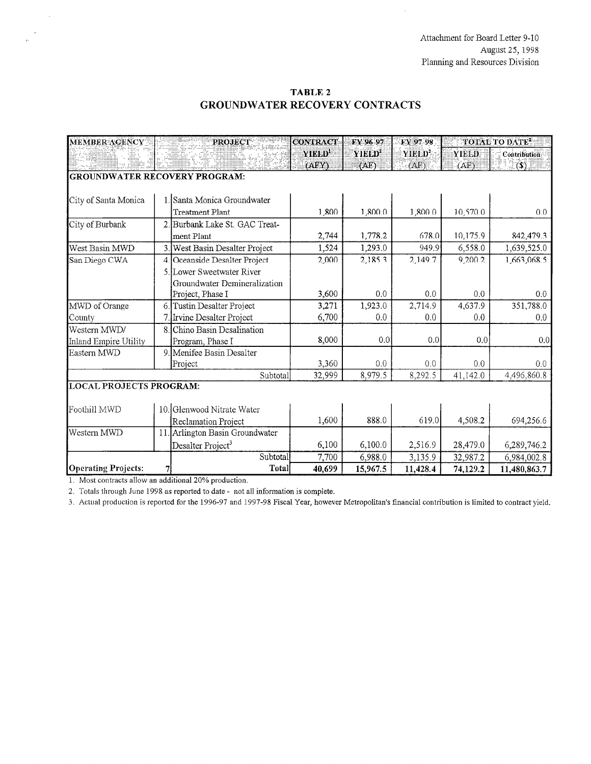$\cdots$ 

and and

### TABLE 2 **GROUNDWATER RECOVERY CONTRACTS**

| MEMBER AGENCY                        |                                                                     | <b>EXAMPROJECT PROPERTY</b>     | <b>CONTRACT</b><br>FY 96-97 |                    | FY 97-98           | <b>TOTAL TO DATE!</b> |                 |  |
|--------------------------------------|---------------------------------------------------------------------|---------------------------------|-----------------------------|--------------------|--------------------|-----------------------|-----------------|--|
|                                      |                                                                     | i Samara                        | YIELD <sup>1</sup>          | YIELD <sup>2</sup> | YIELD <sup>2</sup> | <b>YIELD</b>          | Contribution    |  |
|                                      |                                                                     |                                 | (AFY)                       | (AF)               | (AF)               | (AF)                  | $\mathbb{E}(S)$ |  |
| <b>GROUNDWATER RECOVERY PROGRAM:</b> |                                                                     |                                 |                             |                    |                    |                       |                 |  |
|                                      |                                                                     |                                 |                             |                    |                    |                       |                 |  |
| City of Santa Monica                 |                                                                     | 1. Santa Monica Groundwater     |                             |                    |                    |                       |                 |  |
|                                      |                                                                     | <b>Treatment Plant</b>          | 1,800                       | 1,800.0            | 1,800.0            | 10,570.0              | 0.0             |  |
| City of Burbank                      |                                                                     | 2. Burbank Lake St. GAC Treat-  |                             |                    |                    |                       |                 |  |
|                                      |                                                                     | ment Plant                      | 2,744                       | 1,778.2            | 678.0              | 10,175.9              | 842,479.3       |  |
| West Basin MWD                       | 3 <sub>1</sub>                                                      | West Basin Desalter Project     | 1,524                       | 1,293.0            | 949.9              | 6,558.0               | 1,639,525.0     |  |
| San Diego CWA                        | $\overline{4}$ .                                                    | Oceanside Desalter Project      | 2,000                       | 2,185.3            | 2,149.7            | 9,200.2               | 1,663,068.5     |  |
|                                      |                                                                     | 5. Lower Sweetwater River       |                             |                    |                    |                       |                 |  |
|                                      |                                                                     | Groundwater Demineralization    |                             |                    |                    |                       |                 |  |
|                                      |                                                                     | Project, Phase I                | 3,600                       | 0.0                | 0.0                | 0.0                   | 0.0             |  |
| MWD of Orange                        |                                                                     | 6. Tustin Desalter Project      | 3,271                       | 1,923.0            | 2,714.9            | 4,637.9               | 351,788.0       |  |
| County                               |                                                                     | 7. Irvine Desalter Project      | 6,700                       | 0.0                | 0.0                | 0.0                   | 0.0             |  |
| Western MWD/                         |                                                                     | 8 Chino Basin Desalination      |                             |                    |                    |                       |                 |  |
| Inland Empire Utility                |                                                                     | Program, Phase I                | 8,000                       | 0.0                | 0.0                | 0.0                   | 0.0             |  |
| Eastern MWD                          |                                                                     | 9. Menifee Basin Desalter       |                             |                    |                    |                       |                 |  |
|                                      |                                                                     | Project                         | 3,360                       | 0.0                | 0.0                | 0.0                   | 0.0             |  |
|                                      | 8,979.5<br>4,496,860.8<br>8,292.5<br>32,999<br>41,142.0<br>Subtotal |                                 |                             |                    |                    |                       |                 |  |
| <b>LOCAL PROJECTS PROGRAM:</b>       |                                                                     |                                 |                             |                    |                    |                       |                 |  |
|                                      |                                                                     |                                 |                             |                    |                    |                       |                 |  |
| Foothill MWD                         |                                                                     | 10. Glenwood Nitrate Water      |                             |                    |                    |                       |                 |  |
|                                      |                                                                     | Reclamation Project             | 1,600                       | 888.0              | 619.0              | 4,508.2               | 694,256.6       |  |
| Western MWD                          |                                                                     | 11. Arlington Basin Groundwater |                             |                    |                    |                       |                 |  |
|                                      |                                                                     | Desalter Project <sup>3</sup>   | 6,100                       | 6,100.0            | 2,516.9            | 28,479.0              | 6,289,746.2     |  |
|                                      |                                                                     | Subtotal                        | 7,700                       | 6,988.0            | 3,135.9            | 32,987.2              | 6,984,002.8     |  |
| <b>Operating Projects:</b>           | 7                                                                   | <b>Total</b>                    | 40,699                      | 15,967.5           | 11,428.4           | 74,129.2              | 11,480,863.7    |  |

1. Most contracts allow an additional 20% production.

alla dia dia

÷,

2. Totals through June 1998 as reported to date - not all information is complete.

3. Actual production is reported for the 1996-97 and 1997-98 Fiscal Year, however Metropolitan's financial contribution is limited to contract yield.